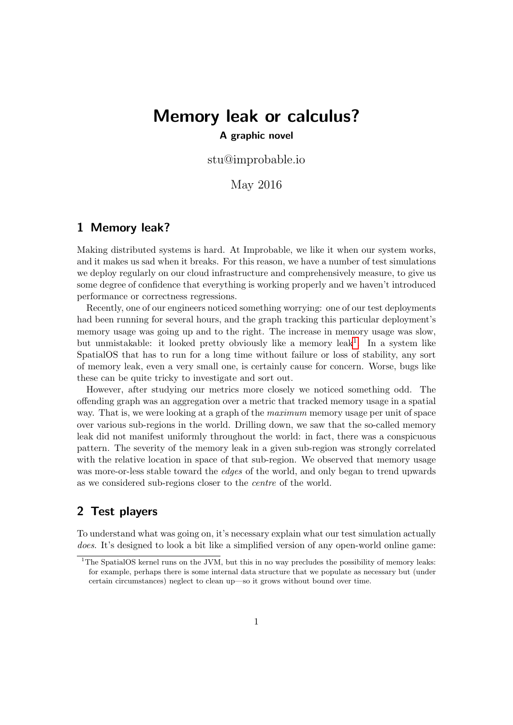# Memory leak or calculus? A graphic novel

stu@improbable.io

May 2016

#### 1 Memory leak?

Making distributed systems is hard. At Improbable, we like it when our system works, and it makes us sad when it breaks. For this reason, we have a number of test simulations we deploy regularly on our cloud infrastructure and comprehensively measure, to give us some degree of confidence that everything is working properly and we haven't introduced performance or correctness regressions.

Recently, one of our engineers noticed something worrying: one of our test deployments had been running for several hours, and the graph tracking this particular deployment's memory usage was going up and to the right. The increase in memory usage was slow, but unmistakable: it looked pretty obviously like a memory leak<sup>[1](#page-0-0)</sup>. In a system like SpatialOS that has to run for a long time without failure or loss of stability, any sort of memory leak, even a very small one, is certainly cause for concern. Worse, bugs like these can be quite tricky to investigate and sort out.

However, after studying our metrics more closely we noticed something odd. The offending graph was an aggregation over a metric that tracked memory usage in a spatial way. That is, we were looking at a graph of the *maximum* memory usage per unit of space over various sub-regions in the world. Drilling down, we saw that the so-called memory leak did not manifest uniformly throughout the world: in fact, there was a conspicuous pattern. The severity of the memory leak in a given sub-region was strongly correlated with the relative location in space of that sub-region. We observed that memory usage was more-or-less stable toward the *edges* of the world, and only began to trend upwards as we considered sub-regions closer to the centre of the world.

## 2 Test players

To understand what was going on, it's necessary explain what our test simulation actually does. It's designed to look a bit like a simplified version of any open-world online game:

<span id="page-0-0"></span><sup>&</sup>lt;sup>1</sup>The SpatialOS kernel runs on the JVM, but this in no way precludes the possibility of memory leaks: for example, perhaps there is some internal data structure that we populate as necessary but (under certain circumstances) neglect to clean up—so it grows without bound over time.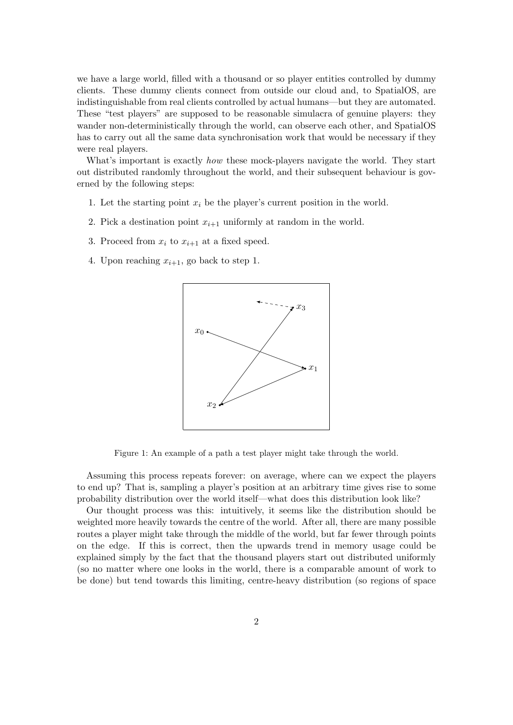we have a large world, filled with a thousand or so player entities controlled by dummy clients. These dummy clients connect from outside our cloud and, to SpatialOS, are indistinguishable from real clients controlled by actual humans—but they are automated. These "test players" are supposed to be reasonable simulacra of genuine players: they wander non-deterministically through the world, can observe each other, and SpatialOS has to carry out all the same data synchronisation work that would be necessary if they were real players.

What's important is exactly *how* these mock-players navigate the world. They start out distributed randomly throughout the world, and their subsequent behaviour is governed by the following steps:

- 1. Let the starting point  $x_i$  be the player's current position in the world.
- 2. Pick a destination point  $x_{i+1}$  uniformly at random in the world.
- 3. Proceed from  $x_i$  to  $x_{i+1}$  at a fixed speed.
- 4. Upon reaching  $x_{i+1}$ , go back to step 1.



Figure 1: An example of a path a test player might take through the world.

Assuming this process repeats forever: on average, where can we expect the players to end up? That is, sampling a player's position at an arbitrary time gives rise to some probability distribution over the world itself—what does this distribution look like?

Our thought process was this: intuitively, it seems like the distribution should be weighted more heavily towards the centre of the world. After all, there are many possible routes a player might take through the middle of the world, but far fewer through points on the edge. If this is correct, then the upwards trend in memory usage could be explained simply by the fact that the thousand players start out distributed uniformly (so no matter where one looks in the world, there is a comparable amount of work to be done) but tend towards this limiting, centre-heavy distribution (so regions of space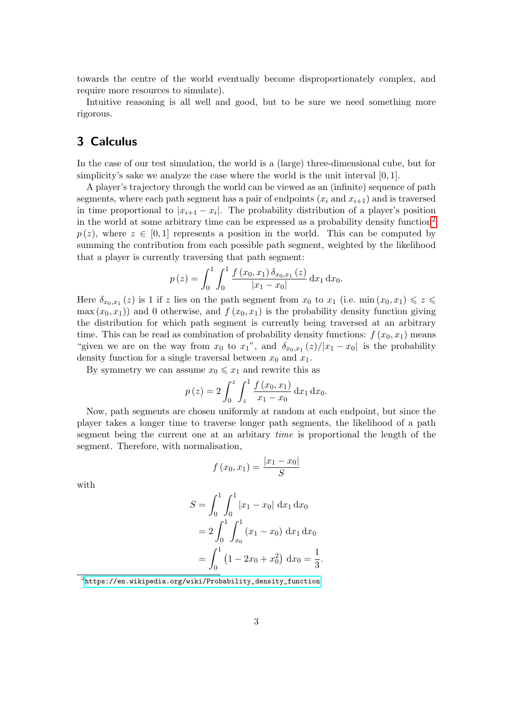towards the centre of the world eventually become disproportionately complex, and require more resources to simulate).

Intuitive reasoning is all well and good, but to be sure we need something more rigorous.

# 3 Calculus

In the case of our test simulation, the world is a (large) three-dimensional cube, but for simplicity's sake we analyze the case where the world is the unit interval [0, 1].

A player's trajectory through the world can be viewed as an (infinite) sequence of path segments, where each path segment has a pair of endpoints  $(x_i \text{ and } x_{i+1})$  and is traversed in time proportional to  $|x_{i+1} - x_i|$ . The probability distribution of a player's position in the world at some arbitrary time can be expressed as a probability density function[2](#page-2-0)  $p(z)$ , where  $z \in [0,1]$  represents a position in the world. This can be computed by summing the contribution from each possible path segment, weighted by the likelihood that a player is currently traversing that path segment:

$$
p(z) = \int_0^1 \int_0^1 \frac{f(x_0, x_1) \, \delta_{x_0, x_1}(z)}{|x_1 - x_0|} \, \mathrm{d}x_1 \, \mathrm{d}x_0.
$$

Here  $\delta_{x_0,x_1}(z)$  is 1 if z lies on the path segment from  $x_0$  to  $x_1$  (i.e. min $(x_0,x_1) \leqslant z \leqslant$  $\max(x_0, x_1)$  and 0 otherwise, and  $f(x_0, x_1)$  is the probability density function giving the distribution for which path segment is currently being traversed at an arbitrary time. This can be read as combination of probability density functions:  $f(x_0, x_1)$  means "given we are on the way from  $x_0$  to  $x_1$ ", and  $\delta_{x_0,x_1}(z)/|x_1-x_0|$  is the probability density function for a single traversal between  $x_0$  and  $x_1$ .

By symmetry we can assume  $x_0 \leq x_1$  and rewrite this as

$$
p(z) = 2 \int_0^z \int_z^1 \frac{f(x_0, x_1)}{x_1 - x_0} dx_1 dx_0.
$$

Now, path segments are chosen uniformly at random at each endpoint, but since the player takes a longer time to traverse longer path segments, the likelihood of a path segment being the current one at an arbitary time is proportional the length of the segment. Therefore, with normalisation,

$$
f(x_0, x_1) = \frac{|x_1 - x_0|}{S}
$$

with

$$
S = \int_0^1 \int_0^1 |x_1 - x_0| \, dx_1 \, dx_0
$$
  
=  $2 \int_0^1 \int_{x_0}^1 (x_1 - x_0) \, dx_1 \, dx_0$   
=  $\int_0^1 (1 - 2x_0 + x_0^2) \, dx_0 = \frac{1}{3}.$ 

<span id="page-2-0"></span> $^{2}$ [https://en.wikipedia.org/wiki/Probability\\_density\\_function](https://en.wikipedia.org/wiki/Probability_density_function)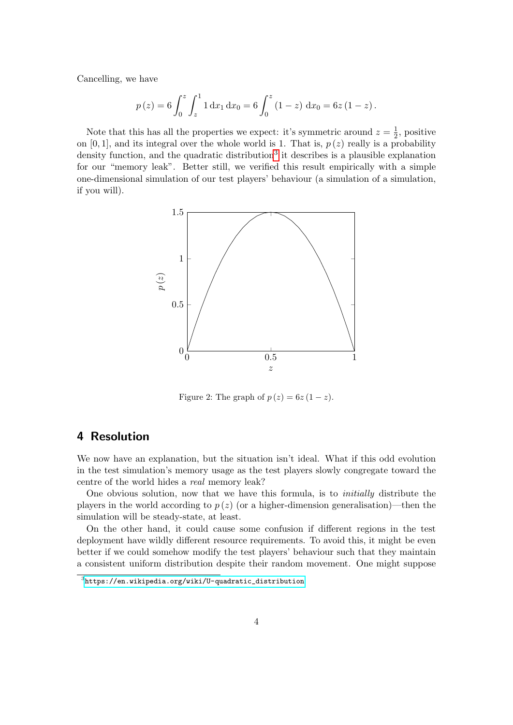Cancelling, we have

$$
p(z) = 6 \int_0^z \int_z^1 1 \, dx_1 \, dx_0 = 6 \int_0^z (1 - z) \, dx_0 = 6z (1 - z).
$$

Note that this has all the properties we expect: it's symmetric around  $z=\frac{1}{2}$  $\frac{1}{2}$ , positive on [0, 1], and its integral over the whole world is 1. That is,  $p(z)$  really is a probability density function, and the quadratic distribution<sup>[3](#page-3-0)</sup> it describes is a plausible explanation for our "memory leak". Better still, we verified this result empirically with a simple one-dimensional simulation of our test players' behaviour (a simulation of a simulation, if you will).



Figure 2: The graph of  $p(z) = 6z(1-z)$ .

### 4 Resolution

We now have an explanation, but the situation isn't ideal. What if this odd evolution in the test simulation's memory usage as the test players slowly congregate toward the centre of the world hides a real memory leak?

One obvious solution, now that we have this formula, is to initially distribute the players in the world according to  $p(z)$  (or a higher-dimension generalisation)—then the simulation will be steady-state, at least.

On the other hand, it could cause some confusion if different regions in the test deployment have wildly different resource requirements. To avoid this, it might be even better if we could somehow modify the test players' behaviour such that they maintain a consistent uniform distribution despite their random movement. One might suppose

<span id="page-3-0"></span> $^3$ [https://en.wikipedia.org/wiki/U-quadratic\\_distribution](https://en.wikipedia.org/wiki/U-quadratic_distribution)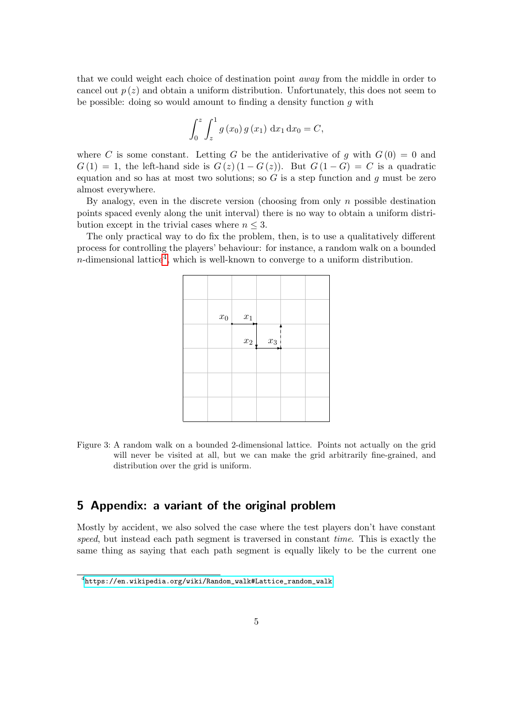that we could weight each choice of destination point away from the middle in order to cancel out  $p(z)$  and obtain a uniform distribution. Unfortunately, this does not seem to be possible: doing so would amount to finding a density function  $q$  with

$$
\int_0^z \int_z^1 g(x_0) g(x_1) dx_1 dx_0 = C,
$$

where C is some constant. Letting G be the antiderivative of q with  $G(0) = 0$  and  $G(1) = 1$ , the left-hand side is  $G(z) (1 - G(z))$ . But  $G(1 - G) = C$  is a quadratic equation and so has at most two solutions; so  $G$  is a step function and  $q$  must be zero almost everywhere.

By analogy, even in the discrete version (choosing from only  $n$  possible destination points spaced evenly along the unit interval) there is no way to obtain a uniform distribution except in the trivial cases where  $n \leq 3$ .

The only practical way to do fix the problem, then, is to use a qualitatively different process for controlling the players' behaviour: for instance, a random walk on a bounded *n*-dimensional lattice<sup>[4](#page-4-0)</sup>, which is well-known to converge to a uniform distribution.

| $\boldsymbol{x}_0$ | $\boldsymbol{x}_1$ |       |  |
|--------------------|--------------------|-------|--|
|                    | $\boldsymbol{x}_2$ | $x_3$ |  |
|                    |                    |       |  |
|                    |                    |       |  |
|                    |                    |       |  |

Figure 3: A random walk on a bounded 2-dimensional lattice. Points not actually on the grid will never be visited at all, but we can make the grid arbitrarily fine-grained, and distribution over the grid is uniform.

## 5 Appendix: a variant of the original problem

Mostly by accident, we also solved the case where the test players don't have constant speed, but instead each path segment is traversed in constant time. This is exactly the same thing as saying that each path segment is equally likely to be the current one

<span id="page-4-0"></span> $^4$ [https://en.wikipedia.org/wiki/Random\\_walk#Lattice\\_random\\_walk](https://en.wikipedia.org/wiki/Random_walk#Lattice_random_walk)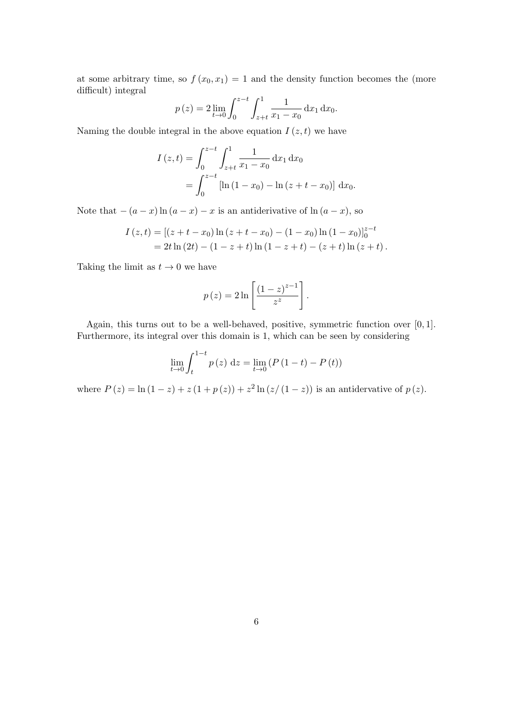at some arbitrary time, so  $f(x_0, x_1) = 1$  and the density function becomes the (more difficult) integral

$$
p(z) = 2 \lim_{t \to 0} \int_0^{z-t} \int_{z+t}^1 \frac{1}{x_1 - x_0} dx_1 dx_0.
$$

Naming the double integral in the above equation  $I(z, t)$  we have

$$
I(z,t) = \int_0^{z-t} \int_{z+t}^1 \frac{1}{x_1 - x_0} dx_1 dx_0
$$
  
= 
$$
\int_0^{z-t} [\ln(1 - x_0) - \ln(z + t - x_0)] dx_0.
$$

Note that  $-(a-x)\ln(a-x) - x$  is an antiderivative of  $\ln(a-x)$ , so

$$
I(z,t) = [(z+t-x_0) \ln (z+t-x_0) - (1-x_0) \ln (1-x_0)]_0^{z-t}
$$
  
= 2t \ln (2t) - (1-z+t) \ln (1-z+t) - (z+t) \ln (z+t).

Taking the limit as  $t \to 0$  we have

$$
p(z) = 2 \ln \left[ \frac{\left(1-z\right)^{z-1}}{z^z} \right].
$$

Again, this turns out to be a well-behaved, positive, symmetric function over [0, 1]. Furthermore, its integral over this domain is 1, which can be seen by considering

$$
\lim_{t \to 0} \int_{t}^{1-t} p(z) dz = \lim_{t \to 0} (P(1-t) - P(t))
$$

where  $P(z) = \ln(1 - z) + z(1 + p(z)) + z^2 \ln(z/(1 - z))$  is an antidervative of  $p(z)$ .